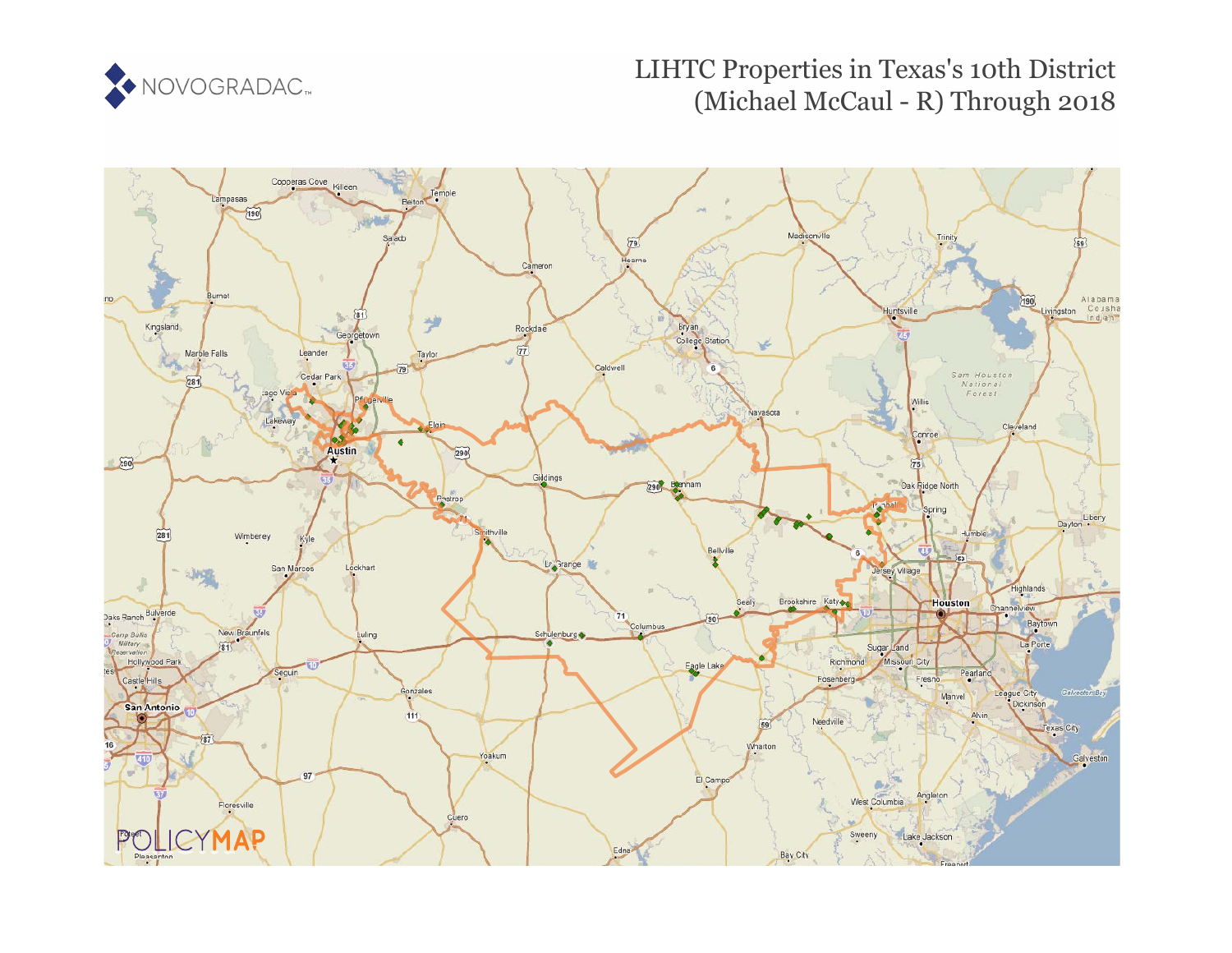

# LIHTC Properties in Texas's 10th District (Michael McCaul - R) Through 2018

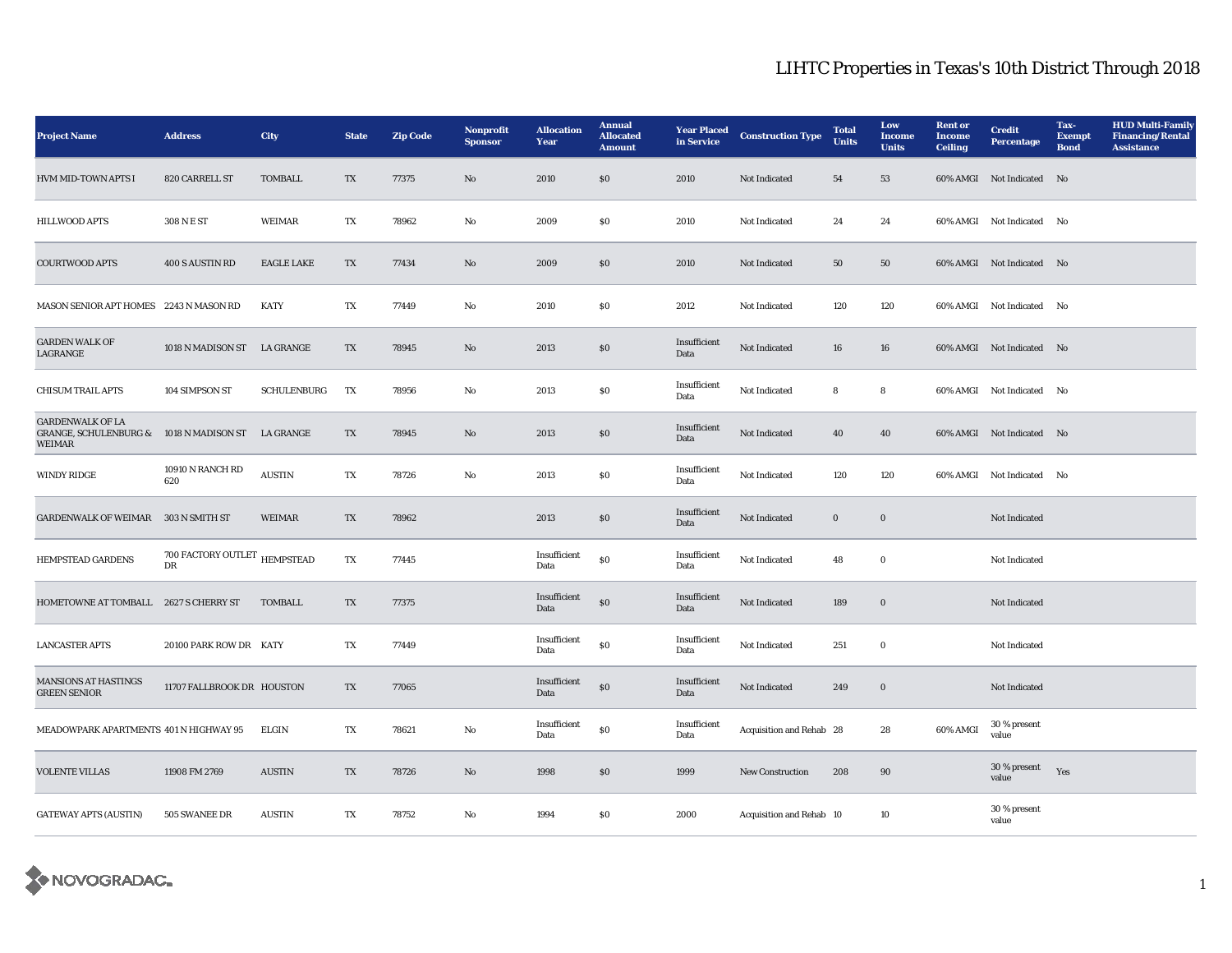| <b>Project Name</b>                                                                           | <b>Address</b>                               | City               | <b>State</b>           | <b>Zip Code</b> | Nonprofit<br><b>Sponsor</b> | <b>Allocation</b><br>Year | <b>Annual</b><br><b>Allocated</b><br><b>Amount</b> | <b>Year Placed</b><br>in Service | <b>Construction Type</b> | <b>Total</b><br><b>Units</b> | Low<br><b>Income</b><br><b>Units</b> | <b>Rent or</b><br><b>Income</b><br><b>Ceiling</b> | <b>Credit</b><br><b>Percentage</b> | Tax-<br><b>Exempt</b><br><b>Bond</b> | <b>HUD Multi-Family</b><br><b>Financing/Rental</b><br><b>Assistance</b> |
|-----------------------------------------------------------------------------------------------|----------------------------------------------|--------------------|------------------------|-----------------|-----------------------------|---------------------------|----------------------------------------------------|----------------------------------|--------------------------|------------------------------|--------------------------------------|---------------------------------------------------|------------------------------------|--------------------------------------|-------------------------------------------------------------------------|
| HVM MID-TOWN APTS I                                                                           | 820 CARRELL ST                               | <b>TOMBALL</b>     | TX                     | 77375           | No                          | 2010                      | $\$0$                                              | 2010                             | Not Indicated            | 54                           | 53                                   |                                                   | 60% AMGI Not Indicated No          |                                      |                                                                         |
| <b>HILLWOOD APTS</b>                                                                          | 308 N E ST                                   | <b>WEIMAR</b>      | TX                     | 78962           | $\mathbf {No}$              | 2009                      | $\$0$                                              | 2010                             | Not Indicated            | 24                           | 24                                   |                                                   | 60% AMGI Not Indicated No          |                                      |                                                                         |
| COURTWOOD APTS                                                                                | 400 S AUSTIN RD                              | <b>EAGLE LAKE</b>  | TX                     | 77434           | $\rm No$                    | 2009                      | $\$0$                                              | 2010                             | Not Indicated            | 50                           | 50                                   |                                                   | 60% AMGI Not Indicated No          |                                      |                                                                         |
| <b>MASON SENIOR APT HOMES</b> 2243 N MASON RD                                                 |                                              | <b>KATY</b>        | TX                     | 77449           | No                          | 2010                      | $\$0$                                              | 2012                             | Not Indicated            | 120                          | 120                                  |                                                   | 60% AMGI Not Indicated No          |                                      |                                                                         |
| <b>GARDEN WALK OF</b><br>LAGRANGE                                                             | 1018 N MADISON ST LA GRANGE                  |                    | $\mathbf{T}\mathbf{X}$ | 78945           | $\rm No$                    | 2013                      | $\$0$                                              | Insufficient<br>Data             | Not Indicated            | ${\bf 16}$                   | 16                                   |                                                   | 60% AMGI Not Indicated No          |                                      |                                                                         |
| <b>CHISUM TRAIL APTS</b>                                                                      | 104 SIMPSON ST                               | <b>SCHULENBURG</b> | TX                     | 78956           | $\rm No$                    | 2013                      | $\$0$                                              | Insufficient<br>Data             | Not Indicated            | 8                            | 8                                    |                                                   | 60% AMGI Not Indicated No          |                                      |                                                                         |
| <b>GARDENWALK OF LA</b><br>GRANGE, SCHULENBURG & 1018 N MADISON ST LA GRANGE<br><b>WEIMAR</b> |                                              |                    | TX                     | 78945           | No                          | 2013                      | $\$0$                                              | Insufficient<br>Data             | Not Indicated            | 40                           | 40                                   |                                                   | 60% AMGI Not Indicated No          |                                      |                                                                         |
| <b>WINDY RIDGE</b>                                                                            | 10910 N RANCH RD<br>620                      | <b>AUSTIN</b>      | $\mathbf{T}\mathbf{X}$ | 78726           | No                          | 2013                      | \$0                                                | Insufficient<br>Data             | Not Indicated            | 120                          | 120                                  |                                                   | 60% AMGI Not Indicated No          |                                      |                                                                         |
| GARDENWALK OF WEIMAR 303 N SMITH ST                                                           |                                              | <b>WEIMAR</b>      | TX                     | 78962           |                             | 2013                      | $\$0$                                              | Insufficient<br>Data             | Not Indicated            | $\boldsymbol{0}$             | $\bf{0}$                             |                                                   | Not Indicated                      |                                      |                                                                         |
| <b>HEMPSTEAD GARDENS</b>                                                                      | $700$ FACTORY OUTLET $$\tt HEMPSTEAD$$<br>DR |                    | $\mathbf{T}\mathbf{X}$ | 77445           |                             | Insufficient<br>Data      | $\$0$                                              | Insufficient<br>Data             | Not Indicated            | 48                           | $\bf{0}$                             |                                                   | <b>Not Indicated</b>               |                                      |                                                                         |
| HOMETOWNE AT TOMBALL 2627 S CHERRY ST                                                         |                                              | <b>TOMBALL</b>     | $\mathbf{T}\mathbf{X}$ | 77375           |                             | Insufficient<br>Data      | $\$0$                                              | Insufficient<br>Data             | Not Indicated            | 189                          | $\bf{0}$                             |                                                   | Not Indicated                      |                                      |                                                                         |
| <b>LANCASTER APTS</b>                                                                         | 20100 PARK ROW DR KATY                       |                    | TX                     | 77449           |                             | Insufficient<br>Data      | $\$0$                                              | Insufficient<br>Data             | Not Indicated            | 251                          | $\bf{0}$                             |                                                   | Not Indicated                      |                                      |                                                                         |
| <b>MANSIONS AT HASTINGS</b><br><b>GREEN SENIOR</b>                                            | 11707 FALLBROOK DR HOUSTON                   |                    | TX                     | 77065           |                             | Insufficient<br>Data      | $\$0$                                              | Insufficient<br>Data             | Not Indicated            | 249                          | $\bf{0}$                             |                                                   | Not Indicated                      |                                      |                                                                         |
| MEADOWPARK APARTMENTS 401 N HIGHWAY 95                                                        |                                              | <b>ELGIN</b>       | TX                     | 78621           | No                          | Insufficient<br>Data      | $\$0$                                              | Insufficient<br>Data             | Acquisition and Rehab 28 |                              | 28                                   | 60% AMGI                                          | 30 % present<br>value              |                                      |                                                                         |
| <b>VOLENTE VILLAS</b>                                                                         | 11908 FM 2769                                | <b>AUSTIN</b>      | TX                     | 78726           | $\mathbf {No}$              | 1998                      | \$0                                                | 1999                             | <b>New Construction</b>  | 208                          | 90                                   |                                                   | 30 % present<br>value              | Yes                                  |                                                                         |
| <b>GATEWAY APTS (AUSTIN)</b>                                                                  | 505 SWANEE DR                                | <b>AUSTIN</b>      | TX                     | 78752           | No                          | 1994                      | SO.                                                | 2000                             | Acquisition and Rehab 10 |                              | 10                                   |                                                   | 30 % present<br>value              |                                      |                                                                         |

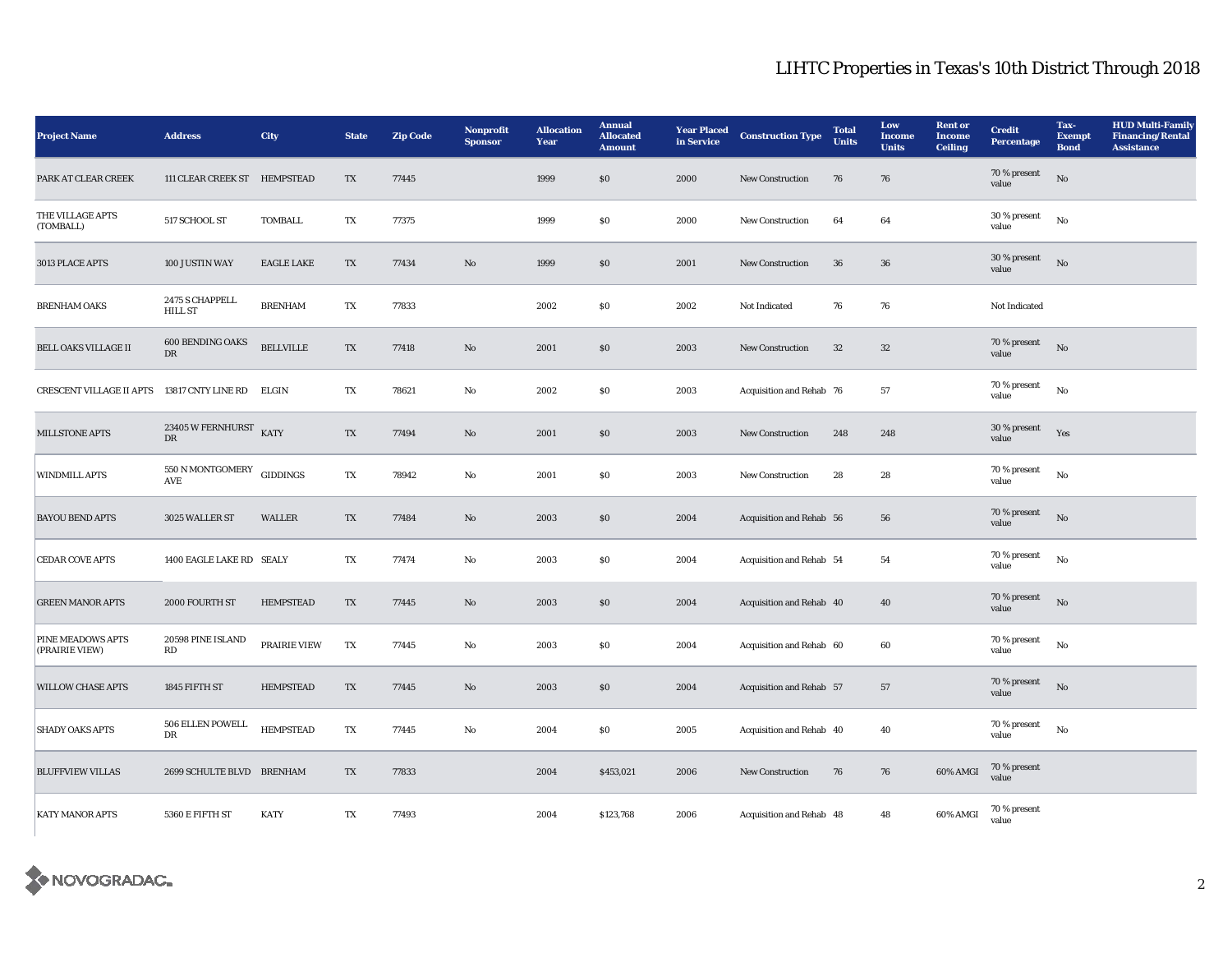| <b>Project Name</b>                         | <b>Address</b>                                       | <b>City</b>       | <b>State</b>           | <b>Zip Code</b> | <b>Nonprofit</b><br><b>Sponsor</b> | <b>Allocation</b><br>Year | <b>Annual</b><br><b>Allocated</b><br><b>Amount</b> | <b>Year Placed</b><br>in Service | <b>Construction Type</b> | <b>Total</b><br><b>Units</b> | Low<br><b>Income</b><br><b>Units</b> | <b>Rent or</b><br><b>Income</b><br><b>Ceiling</b> | <b>Credit</b><br><b>Percentage</b> | Tax-<br><b>Exempt</b><br><b>Bond</b> | <b>HUD Multi-Family</b><br><b>Financing/Rental</b><br><b>Assistance</b> |
|---------------------------------------------|------------------------------------------------------|-------------------|------------------------|-----------------|------------------------------------|---------------------------|----------------------------------------------------|----------------------------------|--------------------------|------------------------------|--------------------------------------|---------------------------------------------------|------------------------------------|--------------------------------------|-------------------------------------------------------------------------|
| PARK AT CLEAR CREEK                         | 111 CLEAR CREEK ST HEMPSTEAD                         |                   | TX                     | 77445           |                                    | 1999                      | \$0                                                | 2000                             | New Construction         | 76                           | 76                                   |                                                   | 70 % present<br>value              | No                                   |                                                                         |
| THE VILLAGE APTS<br>(TOMBALL)               | 517 SCHOOL ST                                        | <b>TOMBALL</b>    | TX                     | 77375           |                                    | 1999                      | S <sub>0</sub>                                     | 2000                             | New Construction         | 64                           | 64                                   |                                                   | 30 % present<br>value              | No                                   |                                                                         |
| 3013 PLACE APTS                             | 100 JUSTIN WAY                                       | <b>EAGLE LAKE</b> | TX                     | 77434           | No                                 | 1999                      | \$0                                                | 2001                             | New Construction         | 36                           | 36                                   |                                                   | 30 % present<br>value              | $\rm No$                             |                                                                         |
| <b>BRENHAM OAKS</b>                         | 2475 S CHAPPELL<br><b>HILL ST</b>                    | <b>BRENHAM</b>    | TX                     | 77833           |                                    | 2002                      | S <sub>0</sub>                                     | 2002                             | Not Indicated            | 76                           | 76                                   |                                                   | Not Indicated                      |                                      |                                                                         |
| <b>BELL OAKS VILLAGE II</b>                 | 600 BENDING OAKS<br>${\rm DR}$                       | <b>BELLVILLE</b>  | TX                     | 77418           | $\mathbf{N}\mathbf{o}$             | 2001                      | \$0                                                | 2003                             | New Construction         | 32                           | $32\,$                               |                                                   | 70 % present<br>value              | No                                   |                                                                         |
| CRESCENT VILLAGE II APTS 13817 CNTY LINE RD |                                                      | ELGIN             | TX                     | 78621           | $\rm No$                           | 2002                      | \$0                                                | 2003                             | Acquisition and Rehab 76 |                              | 57                                   |                                                   | 70 % present<br>value              | No                                   |                                                                         |
| <b>MILLSTONE APTS</b>                       | $23405\,\mathrm{W}\,\mathrm{FERNHURST}$<br><b>DR</b> | <b>KATY</b>       | TX                     | 77494           | No                                 | 2001                      | \$0                                                | 2003                             | <b>New Construction</b>  | 248                          | 248                                  |                                                   | 30 % present<br>value              | Yes                                  |                                                                         |
| <b>WINDMILL APTS</b>                        | 550 N MONTGOMERY<br>AVE                              | <b>GIDDINGS</b>   | TX                     | 78942           | No                                 | 2001                      | $\$0$                                              | 2003                             | <b>New Construction</b>  | 28                           | 28                                   |                                                   | 70 % present<br>value              | No                                   |                                                                         |
| <b>BAYOU BEND APTS</b>                      | 3025 WALLER ST                                       | <b>WALLER</b>     | TX                     | 77484           | $\mathbf{N}\mathbf{o}$             | 2003                      | $\$0$                                              | 2004                             | Acquisition and Rehab 56 |                              | 56                                   |                                                   | 70 % present<br>value              | No                                   |                                                                         |
| <b>CEDAR COVE APTS</b>                      | 1400 EAGLE LAKE RD SEALY                             |                   | TX                     | 77474           | $\mathbf{No}$                      | 2003                      | \$0                                                | 2004                             | Acquisition and Rehab 54 |                              | 54                                   |                                                   | 70 % present<br>value              | No                                   |                                                                         |
| <b>GREEN MANOR APTS</b>                     | 2000 FOURTH ST                                       | <b>HEMPSTEAD</b>  | TX                     | 77445           | No                                 | 2003                      | \$0                                                | 2004                             | Acquisition and Rehab 40 |                              | 40                                   |                                                   | 70 % present<br>value              | $\mathbf{N}$ o                       |                                                                         |
| <b>PINE MEADOWS APTS</b><br>(PRAIRIE VIEW)  | 20598 PINE ISLAND<br>RD                              | PRAIRIE VIEW      | TX                     | 77445           | No                                 | 2003                      | \$0                                                | 2004                             | Acquisition and Rehab 60 |                              | 60                                   |                                                   | 70 % present<br>value              | No                                   |                                                                         |
| <b>WILLOW CHASE APTS</b>                    | 1845 FIFTH ST                                        | <b>HEMPSTEAD</b>  | TX                     | 77445           | No                                 | 2003                      | \$0                                                | 2004                             | Acquisition and Rehab 57 |                              | 57                                   |                                                   | 70 % present<br>value              | No                                   |                                                                         |
| <b>SHADY OAKS APTS</b>                      | 506 ELLEN POWELL<br>DR                               | <b>HEMPSTEAD</b>  | $\mathbf{T}\mathbf{X}$ | 77445           | $\mathbf{No}$                      | 2004                      | $\$0$                                              | 2005                             | Acquisition and Rehab 40 |                              | 40                                   |                                                   | 70 % present<br>value              | No                                   |                                                                         |
| <b>BLUFFVIEW VILLAS</b>                     | 2699 SCHULTE BLVD BRENHAM                            |                   | TX                     | 77833           |                                    | 2004                      | \$453,021                                          | 2006                             | New Construction         | 76                           | 76                                   | 60% AMGI                                          | 70 % present<br>value              |                                      |                                                                         |
| <b>KATY MANOR APTS</b>                      | 5360 E FIFTH ST                                      | <b>KATY</b>       | TX                     | 77493           |                                    | 2004                      | \$123,768                                          | 2006                             | Acquisition and Rehab 48 |                              | 48                                   | 60% AMGI                                          | 70 % present<br>value              |                                      |                                                                         |

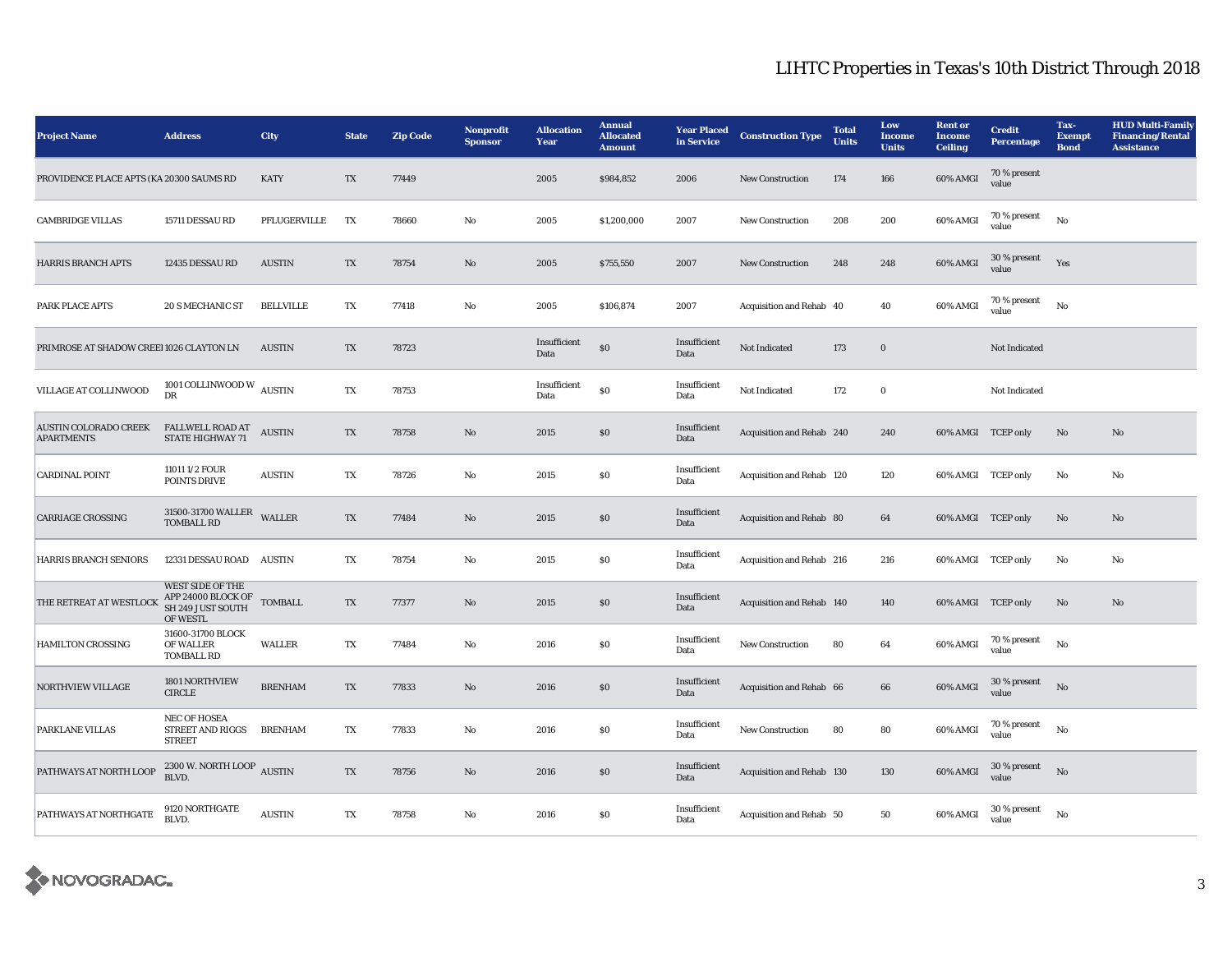| <b>Project Name</b>                               | <b>Address</b>                                                                 | <b>City</b>      | <b>State</b>           | <b>Zip Code</b> | Nonprofit<br><b>Sponsor</b> | <b>Allocation</b><br>Year | <b>Annual</b><br><b>Allocated</b><br><b>Amount</b> | <b>Year Placed</b><br>in Service | <b>Construction Type</b>  | <b>Total</b><br><b>Units</b> | Low<br><b>Income</b><br><b>Units</b> | <b>Rent</b> or<br><b>Income</b><br><b>Ceiling</b> | <b>Credit</b><br><b>Percentage</b> | Tax-<br><b>Exempt</b><br><b>Bond</b> | <b>HUD Multi-Family</b><br><b>Financing/Rental</b><br><b>Assistance</b> |
|---------------------------------------------------|--------------------------------------------------------------------------------|------------------|------------------------|-----------------|-----------------------------|---------------------------|----------------------------------------------------|----------------------------------|---------------------------|------------------------------|--------------------------------------|---------------------------------------------------|------------------------------------|--------------------------------------|-------------------------------------------------------------------------|
| PROVIDENCE PLACE APTS (KA 20300 SAUMS RD          |                                                                                | <b>KATY</b>      | TX                     | 77449           |                             | 2005                      | \$984,852                                          | 2006                             | New Construction          | 174                          | 166                                  | 60% AMGI                                          | 70 % present<br>value              |                                      |                                                                         |
| <b>CAMBRIDGE VILLAS</b>                           | 15711 DESSAU RD                                                                | PFLUGERVILLE     | TX                     | 78660           | $\rm No$                    | 2005                      | \$1,200,000                                        | 2007                             | New Construction          | 208                          | 200                                  | 60% AMGI                                          | 70 % present<br>value              | No                                   |                                                                         |
| <b>HARRIS BRANCH APTS</b>                         | 12435 DESSAU RD                                                                | <b>AUSTIN</b>    | TX                     | 78754           | No                          | 2005                      | \$755,550                                          | 2007                             | <b>New Construction</b>   | 248                          | 248                                  | 60% AMGI                                          | 30 % present<br>value              | Yes                                  |                                                                         |
| PARK PLACE APTS                                   | 20 S MECHANIC ST                                                               | <b>BELLVILLE</b> | TX                     | 77418           | $\rm No$                    | 2005                      | \$106,874                                          | 2007                             | Acquisition and Rehab 40  |                              | 40                                   | 60% AMGI                                          | 70 % present<br>value              | No                                   |                                                                         |
| PRIMROSE AT SHADOW CREEI 1026 CLAYTON LN          |                                                                                | <b>AUSTIN</b>    | TX                     | 78723           |                             | Insufficient<br>Data      | $\$0$                                              | Insufficient<br>Data             | <b>Not Indicated</b>      | 173                          | $\boldsymbol{0}$                     |                                                   | Not Indicated                      |                                      |                                                                         |
| VILLAGE AT COLLINWOOD                             | 1001 COLLINWOOD W $\,$ AUSTIN<br>$\mathbf{D}\mathbf{R}$                        |                  | $\mathbf{T}\mathbf{X}$ | 78753           |                             | Insufficient<br>Data      | ${\bf S0}$                                         | Insufficient<br>Data             | Not Indicated             | 172                          | $\bf{0}$                             |                                                   | Not Indicated                      |                                      |                                                                         |
| <b>AUSTIN COLORADO CREEK</b><br><b>APARTMENTS</b> | <b>FALLWELL ROAD AT</b><br><b>STATE HIGHWAY 71</b>                             | <b>AUSTIN</b>    | TX                     | 78758           | No                          | 2015                      | $\$0$                                              | Insufficient<br>Data             | Acquisition and Rehab 240 |                              | 240                                  | 60% AMGI TCEP only                                |                                    | No                                   | No                                                                      |
| <b>CARDINAL POINT</b>                             | 11011 1/2 FOUR<br>POINTS DRIVE                                                 | <b>AUSTIN</b>    | TX                     | 78726           | No                          | 2015                      | \$0                                                | Insufficient<br>Data             | Acquisition and Rehab 120 |                              | 120                                  | 60% AMGI TCEP only                                |                                    | No                                   | No                                                                      |
| <b>CARRIAGE CROSSING</b>                          | 31500-31700 WALLER<br><b>TOMBALL RD</b>                                        | <b>WALLER</b>    | TX                     | 77484           | $\mathbf{No}$               | 2015                      | $\$0$                                              | Insufficient<br>Data             | Acquisition and Rehab 80  |                              | 64                                   | 60% AMGI TCEP only                                |                                    | No                                   | No                                                                      |
| HARRIS BRANCH SENIORS                             | <b>12331 DESSAU ROAD</b>                                                       | <b>AUSTIN</b>    | TX                     | 78754           | No                          | 2015                      | SO.                                                | Insufficient<br>Data             | Acquisition and Rehab 216 |                              | 216                                  | 60% AMGI TCEP only                                |                                    | No                                   | No                                                                      |
| THE RETREAT AT WESTLOCK                           | <b>WEST SIDE OF THE</b><br>APP 24000 BLOCK OF<br>SH 249 JUST SOUTH<br>OF WESTL | <b>TOMBALL</b>   | TX                     | 77377           | No                          | 2015                      | $\$0$                                              | Insufficient<br>Data             | Acquisition and Rehab 140 |                              | 140                                  | 60% AMGI TCEP only                                |                                    | No                                   | No                                                                      |
| <b>HAMILTON CROSSING</b>                          | 31600-31700 BLOCK<br>OF WALLER<br><b>TOMBALL RD</b>                            | <b>WALLER</b>    | TX                     | 77484           | No                          | 2016                      | \$0                                                | Insufficient<br>Data             | <b>New Construction</b>   | 80                           | 64                                   | 60% AMGI                                          | 70 % present<br>value              | No                                   |                                                                         |
| <b>NORTHVIEW VILLAGE</b>                          | 1801 NORTHVIEW<br><b>CIRCLE</b>                                                | <b>BRENHAM</b>   | TX                     | 77833           | $\mathbf{No}$               | 2016                      | \$0                                                | Insufficient<br>Data             | Acquisition and Rehab 66  |                              | 66                                   | 60% AMGI                                          | 30 % present<br>value              | No                                   |                                                                         |
| PARKLANE VILLAS                                   | <b>NEC OF HOSEA</b><br>STREET AND RIGGS<br><b>STREET</b>                       | <b>BRENHAM</b>   | TX                     | 77833           | No                          | 2016                      | \$0                                                | Insufficient<br>Data             | New Construction          | 80                           | 80                                   | 60% AMGI                                          | 70 % present<br>value              | No                                   |                                                                         |
| PATHWAYS AT NORTH LOOP                            | 2300 W. NORTH LOOP AUSTIN<br>BLVD.                                             |                  | TX                     | 78756           | No                          | 2016                      | \$0                                                | Insufficient<br>Data             | Acquisition and Rehab 130 |                              | 130                                  | 60% AMGI                                          | 30 % present<br>value              | No                                   |                                                                         |
| PATHWAYS AT NORTHGATE                             | 9120 NORTHGATE<br>BLVD.                                                        | <b>AUSTIN</b>    | TX                     | 78758           | No                          | 2016                      | \$0                                                | Insufficient<br>Data             | Acquisition and Rehab 50  |                              | 50                                   | 60% AMGI                                          | $30\,\%$ present<br>value          | No                                   |                                                                         |

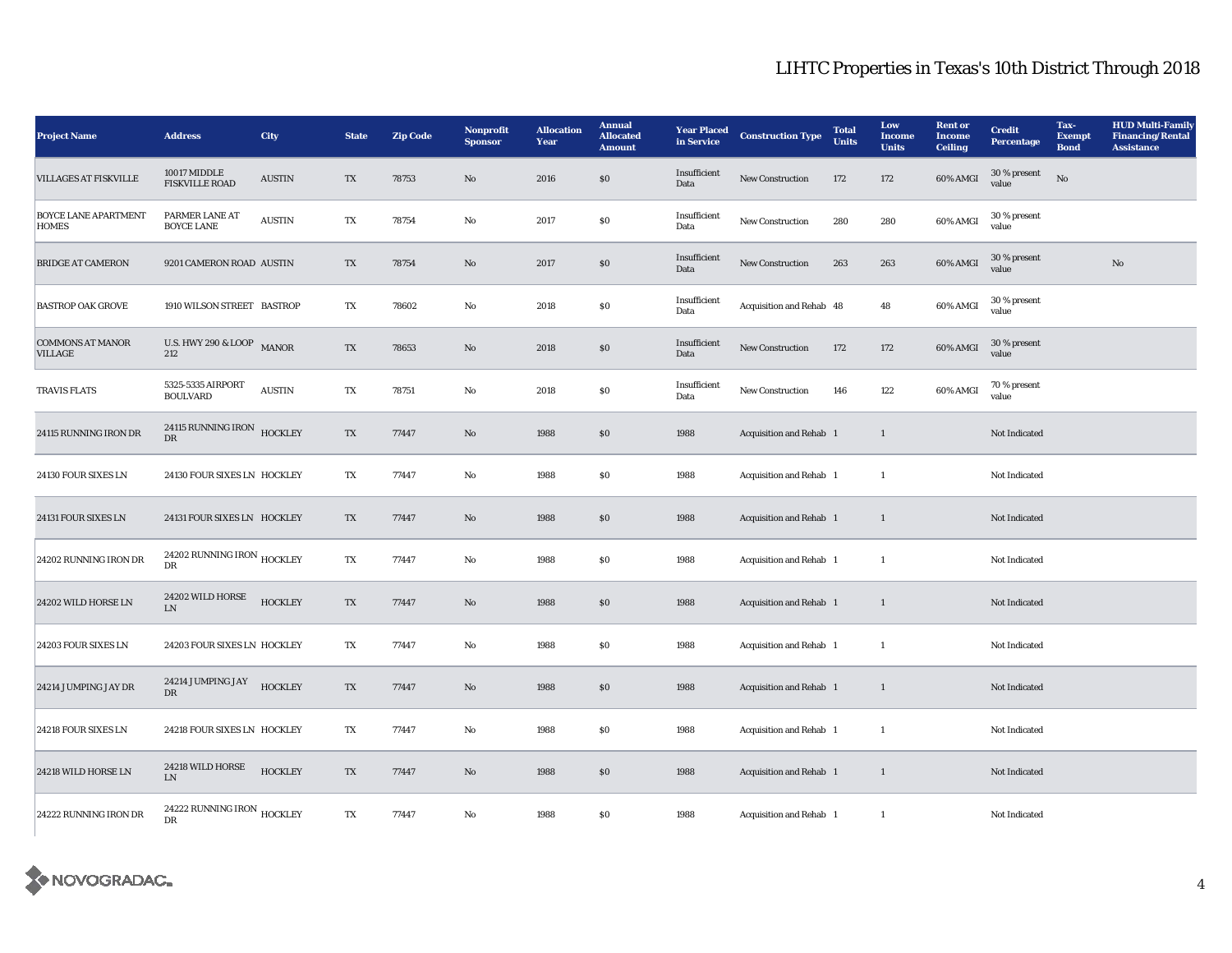| <b>Project Name</b>                         | <b>Address</b>                                     | <b>City</b>    | <b>State</b>           | <b>Zip Code</b> | Nonprofit<br><b>Sponsor</b> | <b>Allocation</b><br>Year | <b>Annual</b><br><b>Allocated</b><br><b>Amount</b> | <b>Year Placed</b><br>in Service | <b>Construction Type</b> | <b>Total</b><br><b>Units</b> | Low<br><b>Income</b><br><b>Units</b> | <b>Rent</b> or<br><b>Income</b><br><b>Ceiling</b> | <b>Credit</b><br><b>Percentage</b> | Tax-<br><b>Exempt</b><br><b>Bond</b> | <b>HUD Multi-Family</b><br><b>Financing/Rental</b><br><b>Assistance</b> |
|---------------------------------------------|----------------------------------------------------|----------------|------------------------|-----------------|-----------------------------|---------------------------|----------------------------------------------------|----------------------------------|--------------------------|------------------------------|--------------------------------------|---------------------------------------------------|------------------------------------|--------------------------------------|-------------------------------------------------------------------------|
| <b>VILLAGES AT FISKVILLE</b>                | 10017 MIDDLE<br><b>FISKVILLE ROAD</b>              | <b>AUSTIN</b>  | TX                     | 78753           | No                          | 2016                      | $\$0$                                              | Insufficient<br>Data             | <b>New Construction</b>  | 172                          | 172                                  | 60% AMGI                                          | $30\,\%$ present<br>value          | No                                   |                                                                         |
| <b>BOYCE LANE APARTMENT</b><br><b>HOMES</b> | PARMER LANE AT<br><b>BOYCE LANE</b>                | <b>AUSTIN</b>  | TX                     | 78754           | $\rm No$                    | 2017                      | $\$0$                                              | Insufficient<br>Data             | New Construction         | 280                          | 280                                  | 60% AMGI                                          | $30\,\%$ present<br>value          |                                      |                                                                         |
| <b>BRIDGE AT CAMERON</b>                    | 9201 CAMERON ROAD AUSTIN                           |                | TX                     | 78754           | No                          | 2017                      | $\$0$                                              | Insufficient<br>Data             | New Construction         | 263                          | 263                                  | 60% AMGI                                          | 30 % present<br>value              |                                      | $\mathbf{N}\mathbf{o}$                                                  |
| <b>BASTROP OAK GROVE</b>                    | 1910 WILSON STREET BASTROP                         |                | TX                     | 78602           | $\mathbf{No}$               | 2018                      | $\$0$                                              | Insufficient<br>Data             | Acquisition and Rehab 48 |                              | 48                                   | 60% AMGI                                          | 30 % present<br>value              |                                      |                                                                         |
| <b>COMMONS AT MANOR</b><br><b>VILLAGE</b>   | U.S. HWY 290 & LOOP MANOR<br>212                   |                | TX                     | 78653           | No                          | 2018                      | $\$0$                                              | Insufficient<br>Data             | <b>New Construction</b>  | 172                          | 172                                  | 60% AMGI                                          | 30 % present<br>value              |                                      |                                                                         |
| <b>TRAVIS FLATS</b>                         | 5325-5335 AIRPORT<br><b>BOULVARD</b>               | <b>AUSTIN</b>  | TX                     | 78751           | $\mathbf{No}$               | 2018                      | \$0                                                | Insufficient<br>Data             | <b>New Construction</b>  | 146                          | 122                                  | 60% AMGI                                          | 70 % present<br>value              |                                      |                                                                         |
| 24115 RUNNING IRON DR                       | 24115 RUNNING IRON HOCKLEY<br>DR                   |                | $\mathbf{T}\mathbf{X}$ | 77447           | $\rm No$                    | 1988                      | $\$0$                                              | 1988                             | Acquisition and Rehab 1  |                              | $\mathbf{1}$                         |                                                   | Not Indicated                      |                                      |                                                                         |
| 24130 FOUR SIXES LN                         | 24130 FOUR SIXES LN HOCKLEY                        |                | TX                     | 77447           | No                          | 1988                      | \$0                                                | 1988                             | Acquisition and Rehab 1  |                              | 1                                    |                                                   | Not Indicated                      |                                      |                                                                         |
| 24131 FOUR SIXES LN                         | 24131 FOUR SIXES LN HOCKLEY                        |                | TX                     | 77447           | No                          | 1988                      | \$0                                                | 1988                             | Acquisition and Rehab 1  |                              | 1                                    |                                                   | Not Indicated                      |                                      |                                                                         |
| 24202 RUNNING IRON DR                       | 24202 RUNNING IRON $_{\rm HOCKLEY}$<br>$_{\rm DR}$ |                | TX                     | 77447           | $\rm No$                    | 1988                      | $\$0$                                              | 1988                             | Acquisition and Rehab 1  |                              | $\overline{1}$                       |                                                   | Not Indicated                      |                                      |                                                                         |
| 24202 WILD HORSE LN                         | 24202 WILD HORSE<br>${\rm LN}$                     | <b>HOCKLEY</b> | TX                     | 77447           | No                          | 1988                      | \$0                                                | 1988                             | Acquisition and Rehab 1  |                              | $\mathbf{1}$                         |                                                   | Not Indicated                      |                                      |                                                                         |
| 24203 FOUR SIXES LN                         | 24203 FOUR SIXES LN HOCKLEY                        |                | TX                     | 77447           | $\mathbf{N}\mathbf{o}$      | 1988                      | $\$0$                                              | 1988                             | Acquisition and Rehab 1  |                              | $\mathbf{1}$                         |                                                   | Not Indicated                      |                                      |                                                                         |
| 24214 JUMPING JAY DR                        | 24214 JUMPING JAY<br>DR                            | <b>HOCKLEY</b> | TX                     | 77447           | No                          | 1988                      | \$0                                                | 1988                             | Acquisition and Rehab 1  |                              | 1                                    |                                                   | Not Indicated                      |                                      |                                                                         |
| 24218 FOUR SIXES LN                         | 24218 FOUR SIXES LN HOCKLEY                        |                | TX                     | 77447           | No                          | 1988                      | \$0                                                | 1988                             | Acquisition and Rehab 1  |                              | 1                                    |                                                   | Not Indicated                      |                                      |                                                                         |
| 24218 WILD HORSE LN                         | 24218 WILD HORSE<br>${\rm LN}$                     | <b>HOCKLEY</b> | TX                     | 77447           | No                          | 1988                      | \$0                                                | 1988                             | Acquisition and Rehab 1  |                              | 1                                    |                                                   | Not Indicated                      |                                      |                                                                         |
| 24222 RUNNING IRON DR                       | 24222 RUNNING IRON $_{\rm HOCKLEY}$<br>DR          |                | TX                     | 77447           | No                          | 1988                      | $\$0$                                              | 1988                             | Acquisition and Rehab 1  |                              | 1                                    |                                                   | Not Indicated                      |                                      |                                                                         |

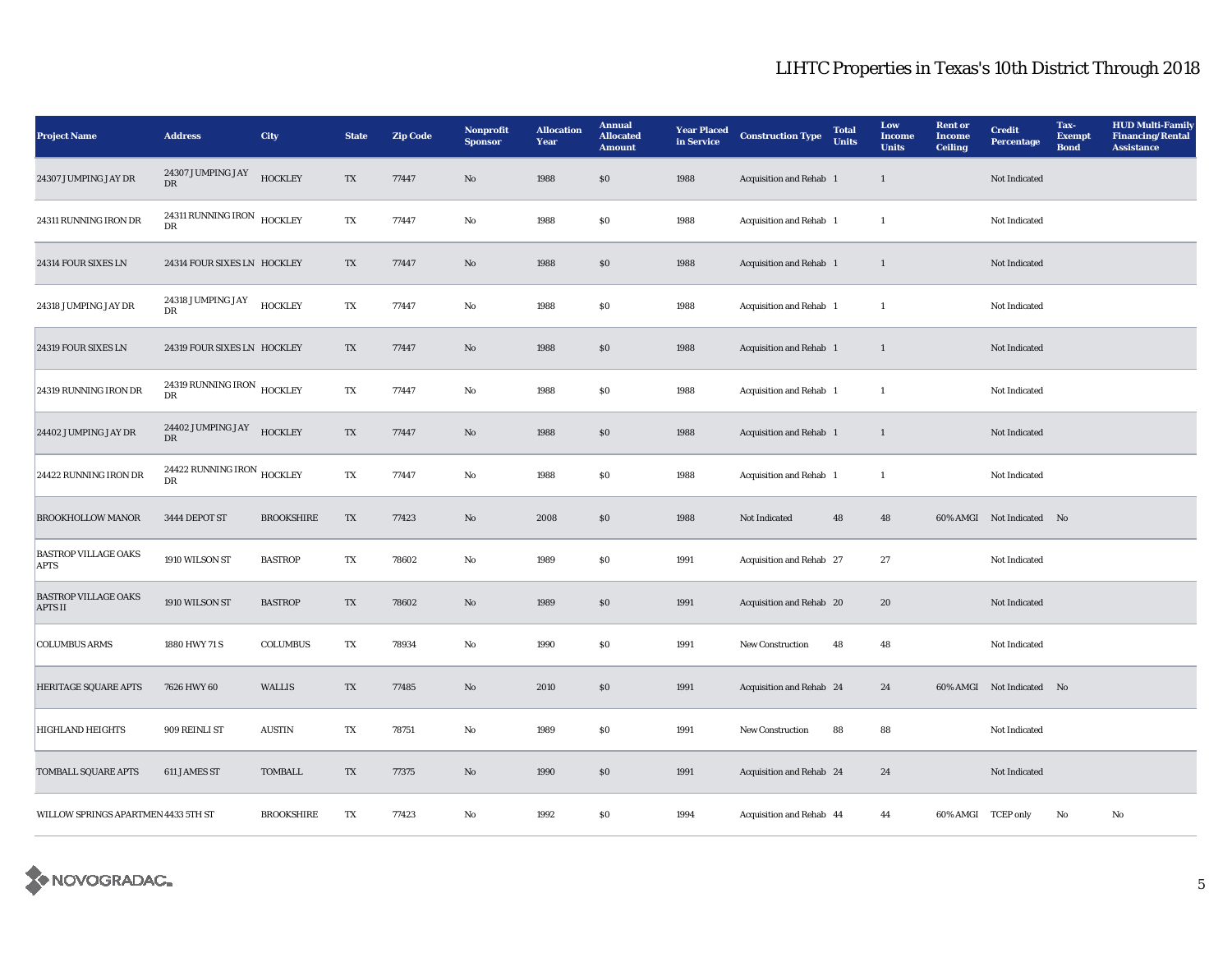| <b>Project Name</b>                           | <b>Address</b>                                    | <b>City</b>       | <b>State</b>           | <b>Zip Code</b> | Nonprofit<br><b>Sponsor</b> | <b>Allocation</b><br>Year | <b>Annual</b><br><b>Allocated</b><br><b>Amount</b> | <b>Year Placed</b><br>in Service | <b>Construction Type</b> | <b>Total</b><br><b>Units</b> | Low<br><b>Income</b><br><b>Units</b> | <b>Rent</b> or<br><b>Income</b><br><b>Ceiling</b> | <b>Credit</b><br><b>Percentage</b> | Tax-<br><b>Exempt</b><br><b>Bond</b> | <b>HUD Multi-Family</b><br><b>Financing/Rental</b><br><b>Assistance</b> |
|-----------------------------------------------|---------------------------------------------------|-------------------|------------------------|-----------------|-----------------------------|---------------------------|----------------------------------------------------|----------------------------------|--------------------------|------------------------------|--------------------------------------|---------------------------------------------------|------------------------------------|--------------------------------------|-------------------------------------------------------------------------|
| 24307 JUMPING JAY DR                          | 24307 JUMPING JAY<br>DR                           | <b>HOCKLEY</b>    | TX                     | 77447           | No                          | 1988                      | $\$0$                                              | 1988                             | Acquisition and Rehab 1  |                              | $\mathbf{1}$                         |                                                   | Not Indicated                      |                                      |                                                                         |
| 24311 RUNNING IRON DR                         | 24311 RUNNING IRON HOCKLEY<br>${\rm DR}$          |                   | $\mathbf{T}\mathbf{X}$ | 77447           | $\rm\thinspace No$          | 1988                      | \$0                                                | 1988                             | Acquisition and Rehab 1  |                              | <sup>1</sup>                         |                                                   | Not Indicated                      |                                      |                                                                         |
| 24314 FOUR SIXES LN                           | 24314 FOUR SIXES LN HOCKLEY                       |                   | TX                     | 77447           | No                          | 1988                      | \$0                                                | 1988                             | Acquisition and Rehab 1  |                              | $\mathbf{1}$                         |                                                   | Not Indicated                      |                                      |                                                                         |
| 24318 JUMPING JAY DR                          | 24318 JUMPING JAY<br>${\rm DR}$                   | <b>HOCKLEY</b>    | TX                     | 77447           | No                          | 1988                      | \$0                                                | 1988                             | Acquisition and Rehab 1  |                              | 1                                    |                                                   | Not Indicated                      |                                      |                                                                         |
| 24319 FOUR SIXES LN                           | 24319 FOUR SIXES LN HOCKLEY                       |                   | TX                     | 77447           | No                          | 1988                      | \$0                                                | 1988                             | Acquisition and Rehab 1  |                              | <sup>1</sup>                         |                                                   | Not Indicated                      |                                      |                                                                         |
| 24319 RUNNING IRON DR                         | 24319 RUNNING IRON $$\tt HOCKLEY$$<br>DR          |                   | TX                     | 77447           | No                          | 1988                      | \$0                                                | 1988                             | Acquisition and Rehab 1  |                              | $\overline{1}$                       |                                                   | Not Indicated                      |                                      |                                                                         |
| 24402 JUMPING JAY DR                          | 24402 JUMPING JAY<br>DR                           | <b>HOCKLEY</b>    | TX                     | 77447           | No                          | 1988                      | \$0                                                | 1988                             | Acquisition and Rehab 1  |                              | -1                                   |                                                   | Not Indicated                      |                                      |                                                                         |
| 24422 RUNNING IRON DR                         | 24422 RUNNING IRON $_{\rm HOCKLEY}$<br>${\rm DR}$ |                   | TX                     | 77447           | $\mathbf{No}$               | 1988                      | \$0                                                | 1988                             | Acquisition and Rehab 1  |                              | -1                                   |                                                   | Not Indicated                      |                                      |                                                                         |
| <b>BROOKHOLLOW MANOR</b>                      | 3444 DEPOT ST                                     | <b>BROOKSHIRE</b> | TX                     | 77423           | $\rm No$                    | 2008                      | $\$0$                                              | 1988                             | Not Indicated            | 48                           | 48                                   |                                                   | 60% AMGI Not Indicated No          |                                      |                                                                         |
| <b>BASTROP VILLAGE OAKS</b><br><b>APTS</b>    | 1910 WILSON ST                                    | <b>BASTROP</b>    | TX                     | 78602           | No                          | 1989                      | \$0                                                | 1991                             | Acquisition and Rehab 27 |                              | 27                                   |                                                   | Not Indicated                      |                                      |                                                                         |
| <b>BASTROP VILLAGE OAKS</b><br><b>APTS II</b> | 1910 WILSON ST                                    | <b>BASTROP</b>    | TX                     | 78602           | $\rm No$                    | 1989                      | $\$0$                                              | 1991                             | Acquisition and Rehab 20 |                              | 20                                   |                                                   | Not Indicated                      |                                      |                                                                         |
| <b>COLUMBUS ARMS</b>                          | 1880 HWY 71 S                                     | <b>COLUMBUS</b>   | TX                     | 78934           | No                          | 1990                      | \$0                                                | 1991                             | New Construction         | 48                           | 48                                   |                                                   | Not Indicated                      |                                      |                                                                         |
| <b>HERITAGE SQUARE APTS</b>                   | 7626 HWY 60                                       | <b>WALLIS</b>     | TX                     | 77485           | No                          | 2010                      | \$0                                                | 1991                             | Acquisition and Rehab 24 |                              | 24                                   |                                                   | 60% AMGI Not Indicated No          |                                      |                                                                         |
| <b>HIGHLAND HEIGHTS</b>                       | 909 REINLI ST                                     | <b>AUSTIN</b>     | TX                     | 78751           | No                          | 1989                      | \$0                                                | 1991                             | <b>New Construction</b>  | 88                           | 88                                   |                                                   | Not Indicated                      |                                      |                                                                         |
| TOMBALL SQUARE APTS                           | 611 JAMES ST                                      | <b>TOMBALL</b>    | TX                     | 77375           | No                          | 1990                      | \$0                                                | 1991                             | Acquisition and Rehab 24 |                              | 24                                   |                                                   | Not Indicated                      |                                      |                                                                         |
| WILLOW SPRINGS APARTMEN 4433 5TH ST           |                                                   | <b>BROOKSHIRE</b> | TX                     | 77423           | No                          | 1992                      | <b>SO</b>                                          | 1994                             | Acquisition and Rehab 44 |                              | 44                                   | 60% AMGI TCEP only                                |                                    | No                                   | No                                                                      |